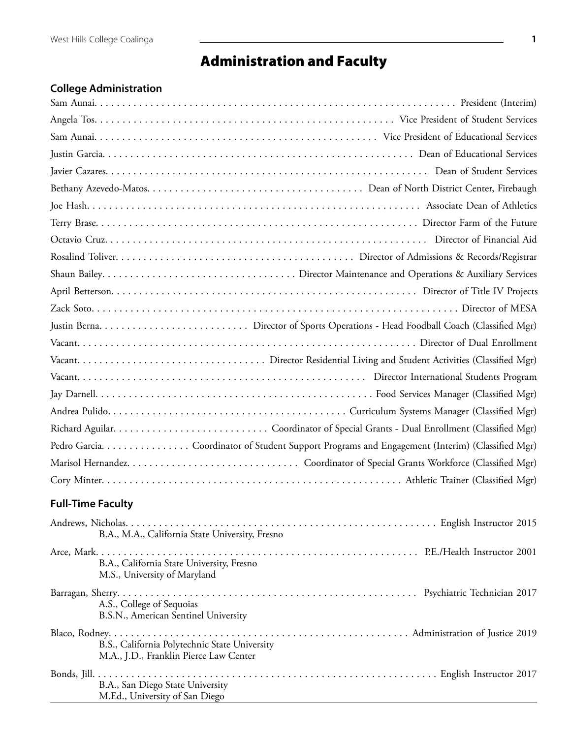## Administration and Faculty

## **College Administration**

| Pedro Garcia. Coordinator of Student Support Programs and Engagement (Interim) (Classified Mgr) |
|-------------------------------------------------------------------------------------------------|
|                                                                                                 |
|                                                                                                 |
| <b>Full-Time Faculty</b>                                                                        |
| B.A., M.A., California State University, Fresno                                                 |
| B.A., California State University, Fresno<br>M.S., University of Maryland                       |
| A.S., College of Sequoias<br>B.S.N., American Sentinel University                               |
| B.S., California Polytechnic State University<br>M.A., J.D., Franklin Pierce Law Center         |
| B.A., San Diego State University<br>M.Ed., University of San Diego                              |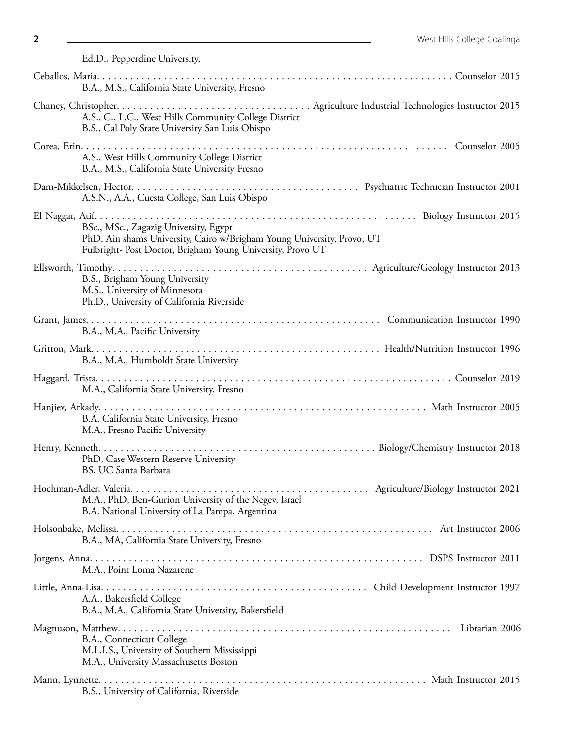Ed.D., Pepperdine University,

| B.A., M.S., California State University, Fresno                                                                                                                               |
|-------------------------------------------------------------------------------------------------------------------------------------------------------------------------------|
| A.S., C., L.C., West Hills Community College District<br>B.S., Cal Poly State University San Luis Obispo                                                                      |
| A.S., West Hills Community College District<br>B.A., M.S., California State University Fresno                                                                                 |
| A.S.N., A.A., Cuesta College, San Luis Obispo                                                                                                                                 |
| BSc., MSc., Zagazig University, Egypt<br>PhD. Ain shams University, Cairo w/Brigham Young University, Provo, UT<br>Fulbright- Post Doctor, Brigham Young University, Provo UT |
| B.S., Brigham Young University<br>M.S., University of Minnesota<br>Ph.D., University of California Riverside                                                                  |
| B.A., M.A., Pacific University                                                                                                                                                |
| B.A., M.A., Humboldt State University                                                                                                                                         |
| M.A., California State University, Fresno                                                                                                                                     |
| B.A. California State University, Fresno<br>M.A., Fresno Pacific University                                                                                                   |
| PhD, Case Western Reserve University<br>BS, UC Santa Barbara                                                                                                                  |
| M.A., PhD, Ben-Gurion University of the Negev, Israel<br>B.A. National University of La Pampa, Argentina                                                                      |
| B.A., MA, California State University, Fresno                                                                                                                                 |
| M.A., Point Loma Nazarene                                                                                                                                                     |
| A.A., Bakersfield College<br>B.A., M.A., California State University, Bakersfield                                                                                             |
| B.A., Connecticut College<br>M.L.I.S., University of Southern Mississippi<br>M.A., University Massachusetts Boston                                                            |
| B.S., University of California, Riverside                                                                                                                                     |